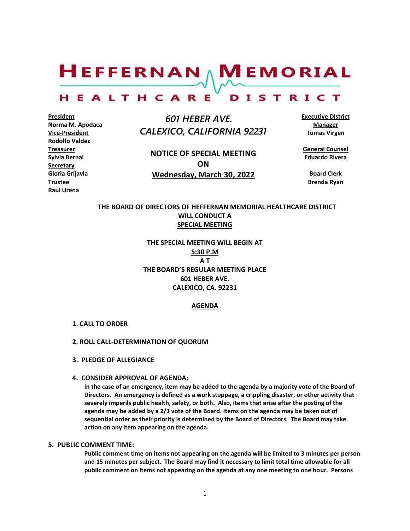$H$ EFFERNAN  $\wedge$  M EMORIAL

#### HEALTHCARE DISTRICT

**President Norma M. Apodaca Vice-President Rodolfo Valdez Treasurer Sylvia Bernal Secretary Gloria Grijavla Trustee Raul Urena**

 *601 HEBER AVE. CALEXICO, CALIFORNIA 92231*

**NOTICE OF SPECIAL MEETING ON Wednesday, March 30, 2022**

**Executive District Manager Tomas Virgen**

**General Counsel Eduardo Rivera**

**Board Clerk Brenda Ryan**

# **THE BOARD OF DIRECTORS OF HEFFERNAN MEMORIAL HEALTHCARE DISTRICT WILL CONDUCT A SPECIAL MEETING**

**THE SPECIAL MEETING WILL BEGIN AT 5:30 P.M A T THE BOARD'S REGULAR MEETING PLACE 601 HEBER AVE. CALEXICO, CA. 92231**

## **AGENDA**

#### **1. CALL TO ORDER**

#### **2. ROLL CALL-DETERMINATION OF QUORUM**

**3. PLEDGE OF ALLEGIANCE**

#### **4. CONSIDER APPROVAL OF AGENDA:**

**In the case of an emergency, item may be added to the agenda by a majority vote of the Board of Directors. An emergency is defined as a work stoppage, a crippling disaster, or other activity that severely imperils public health, safety, or both. Also, items that arise after the posting of the agenda may be added by a 2/3 vote of the Board. Items on the agenda may be taken out of sequential order as their priority is determined by the Board of Directors. The Board may take action on any item appearing on the agenda.**

### **5. PUBLIC COMMENT TIME:**

**Public comment time on items not appearing on the agenda will be limited to 3 minutes per person and 15 minutes per subject. The Board may find it necessary to limit total time allowable for all public comment on items not appearing on the agenda at any one meeting to one hour. Persons**